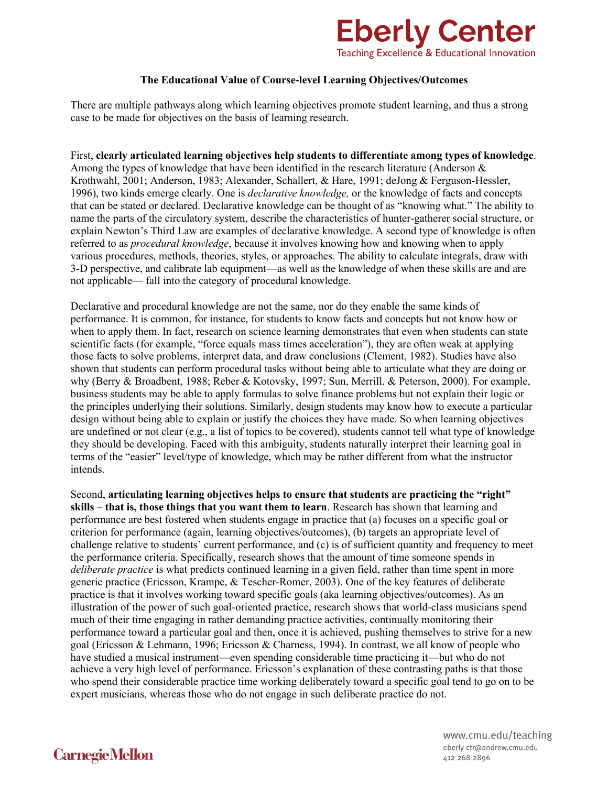

## **The Educational Value of Course-level Learning Objectives/Outcomes**

There are multiple pathways along which learning objectives promote student learning, and thus a strong case to be made for objectives on the basis of learning research.

First, **clearly articulated learning objectives help students to differentiate among types of knowledge**. Among the types of knowledge that have been identified in the research literature (Anderson  $\&$ Krothwahl, 2001; Anderson, 1983; Alexander, Schallert, & Hare, 1991; deJong & Ferguson-Hessler, 1996), two kinds emerge clearly. One is *declarative knowledge,* or the knowledge of facts and concepts that can be stated or declared. Declarative knowledge can be thought of as "knowing what." The ability to name the parts of the circulatory system, describe the characteristics of hunter-gatherer social structure, or explain Newton's Third Law are examples of declarative knowledge. A second type of knowledge is often referred to as *procedural knowledge*, because it involves knowing how and knowing when to apply various procedures, methods, theories, styles, or approaches. The ability to calculate integrals, draw with 3-D perspective, and calibrate lab equipment—as well as the knowledge of when these skills are and are not applicable— fall into the category of procedural knowledge.

Declarative and procedural knowledge are not the same, nor do they enable the same kinds of performance. It is common, for instance, for students to know facts and concepts but not know how or when to apply them. In fact, research on science learning demonstrates that even when students can state scientific facts (for example, "force equals mass times acceleration"), they are often weak at applying those facts to solve problems, interpret data, and draw conclusions (Clement, 1982). Studies have also shown that students can perform procedural tasks without being able to articulate what they are doing or why (Berry & Broadbent, 1988; Reber & Kotovsky, 1997; Sun, Merrill, & Peterson, 2000). For example, business students may be able to apply formulas to solve finance problems but not explain their logic or the principles underlying their solutions. Similarly, design students may know how to execute a particular design without being able to explain or justify the choices they have made. So when learning objectives are undefined or not clear (e.g., a list of topics to be covered), students cannot tell what type of knowledge they should be developing. Faced with this ambiguity, students naturally interpret their learning goal in terms of the "easier" level/type of knowledge, which may be rather different from what the instructor intends.

Second, **articulating learning objectives helps to ensure that students are practicing the "right" skills – that is, those things that you want them to learn**. Research has shown that learning and performance are best fostered when students engage in practice that (a) focuses on a specific goal or criterion for performance (again, learning objectives/outcomes), (b) targets an appropriate level of challenge relative to students' current performance, and (c) is of sufficient quantity and frequency to meet the performance criteria. Specifically, research shows that the amount of time someone spends in *deliberate practice* is what predicts continued learning in a given field, rather than time spent in more generic practice (Ericsson, Krampe, & Tescher-Romer, 2003). One of the key features of deliberate practice is that it involves working toward specific goals (aka learning objectives/outcomes). As an illustration of the power of such goal-oriented practice, research shows that world-class musicians spend much of their time engaging in rather demanding practice activities, continually monitoring their performance toward a particular goal and then, once it is achieved, pushing themselves to strive for a new goal (Ericsson & Lehmann, 1996; Ericsson & Charness, 1994). In contrast, we all know of people who have studied a musical instrument—even spending considerable time practicing it—but who do not achieve a very high level of performance. Ericsson's explanation of these contrasting paths is that those who spend their considerable practice time working deliberately toward a specific goal tend to go on to be expert musicians, whereas those who do not engage in such deliberate practice do not.

> www.cmu.edu/teaching eberly-ctr@andrew.cmu.edu 412-268-2896

## **Carnegie Mellon**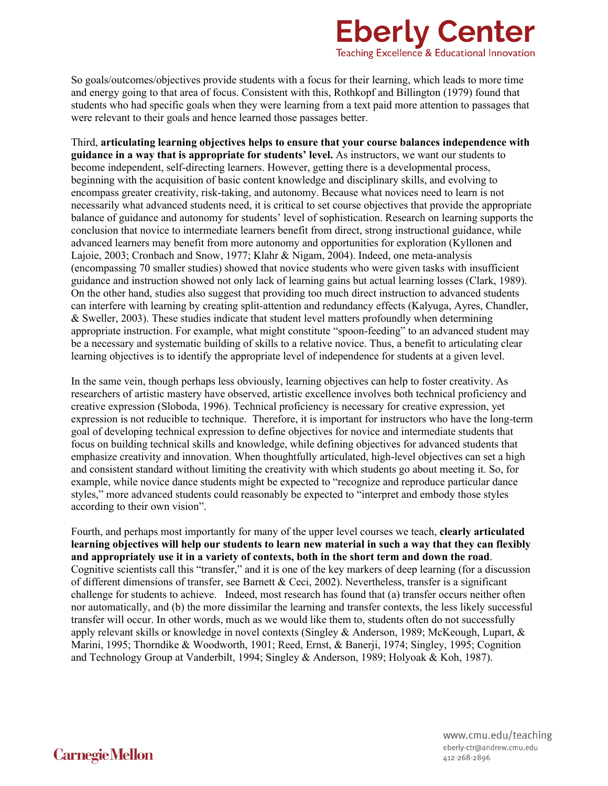## **Eberly Center** Teaching Excellence & Educational Innovation

So goals/outcomes/objectives provide students with a focus for their learning, which leads to more time and energy going to that area of focus. Consistent with this, Rothkopf and Billington (1979) found that students who had specific goals when they were learning from a text paid more attention to passages that were relevant to their goals and hence learned those passages better.

Third, **articulating learning objectives helps to ensure that your course balances independence with guidance in a way that is appropriate for students' level.** As instructors, we want our students to become independent, self-directing learners. However, getting there is a developmental process, beginning with the acquisition of basic content knowledge and disciplinary skills, and evolving to encompass greater creativity, risk-taking, and autonomy. Because what novices need to learn is not necessarily what advanced students need, it is critical to set course objectives that provide the appropriate balance of guidance and autonomy for students' level of sophistication. Research on learning supports the conclusion that novice to intermediate learners benefit from direct, strong instructional guidance, while advanced learners may benefit from more autonomy and opportunities for exploration (Kyllonen and Lajoie, 2003; Cronbach and Snow, 1977; Klahr & Nigam, 2004). Indeed, one meta-analysis (encompassing 70 smaller studies) showed that novice students who were given tasks with insufficient guidance and instruction showed not only lack of learning gains but actual learning losses (Clark, 1989). On the other hand, studies also suggest that providing too much direct instruction to advanced students can interfere with learning by creating split-attention and redundancy effects (Kalyuga, Ayres, Chandler,  $&$  Sweller, 2003). These studies indicate that student level matters profoundly when determining appropriate instruction. For example, what might constitute "spoon-feeding" to an advanced student may be a necessary and systematic building of skills to a relative novice. Thus, a benefit to articulating clear learning objectives is to identify the appropriate level of independence for students at a given level.

In the same vein, though perhaps less obviously, learning objectives can help to foster creativity. As researchers of artistic mastery have observed, artistic excellence involves both technical proficiency and creative expression (Sloboda, 1996). Technical proficiency is necessary for creative expression, yet expression is not reducible to technique. Therefore, it is important for instructors who have the long-term goal of developing technical expression to define objectives for novice and intermediate students that focus on building technical skills and knowledge, while defining objectives for advanced students that emphasize creativity and innovation. When thoughtfully articulated, high-level objectives can set a high and consistent standard without limiting the creativity with which students go about meeting it. So, for example, while novice dance students might be expected to "recognize and reproduce particular dance styles," more advanced students could reasonably be expected to "interpret and embody those styles according to their own vision".

Fourth, and perhaps most importantly for many of the upper level courses we teach, **clearly articulated learning objectives will help our students to learn new material in such a way that they can flexibly and appropriately use it in a variety of contexts, both in the short term and down the road**. Cognitive scientists call this "transfer," and it is one of the key markers of deep learning (for a discussion of different dimensions of transfer, see Barnett & Ceci, 2002). Nevertheless, transfer is a significant challenge for students to achieve. Indeed, most research has found that (a) transfer occurs neither often nor automatically, and (b) the more dissimilar the learning and transfer contexts, the less likely successful transfer will occur. In other words, much as we would like them to, students often do not successfully apply relevant skills or knowledge in novel contexts (Singley & Anderson, 1989; McKeough, Lupart, & Marini, 1995; Thorndike & Woodworth, 1901; Reed, Ernst, & Banerji, 1974; Singley, 1995; Cognition and Technology Group at Vanderbilt, 1994; Singley & Anderson, 1989; Holyoak & Koh, 1987).

**Carnegie Mellon** 

www.cmu.edu/teaching eberly-ctr@andrew.cmu.edu 412-268-2896